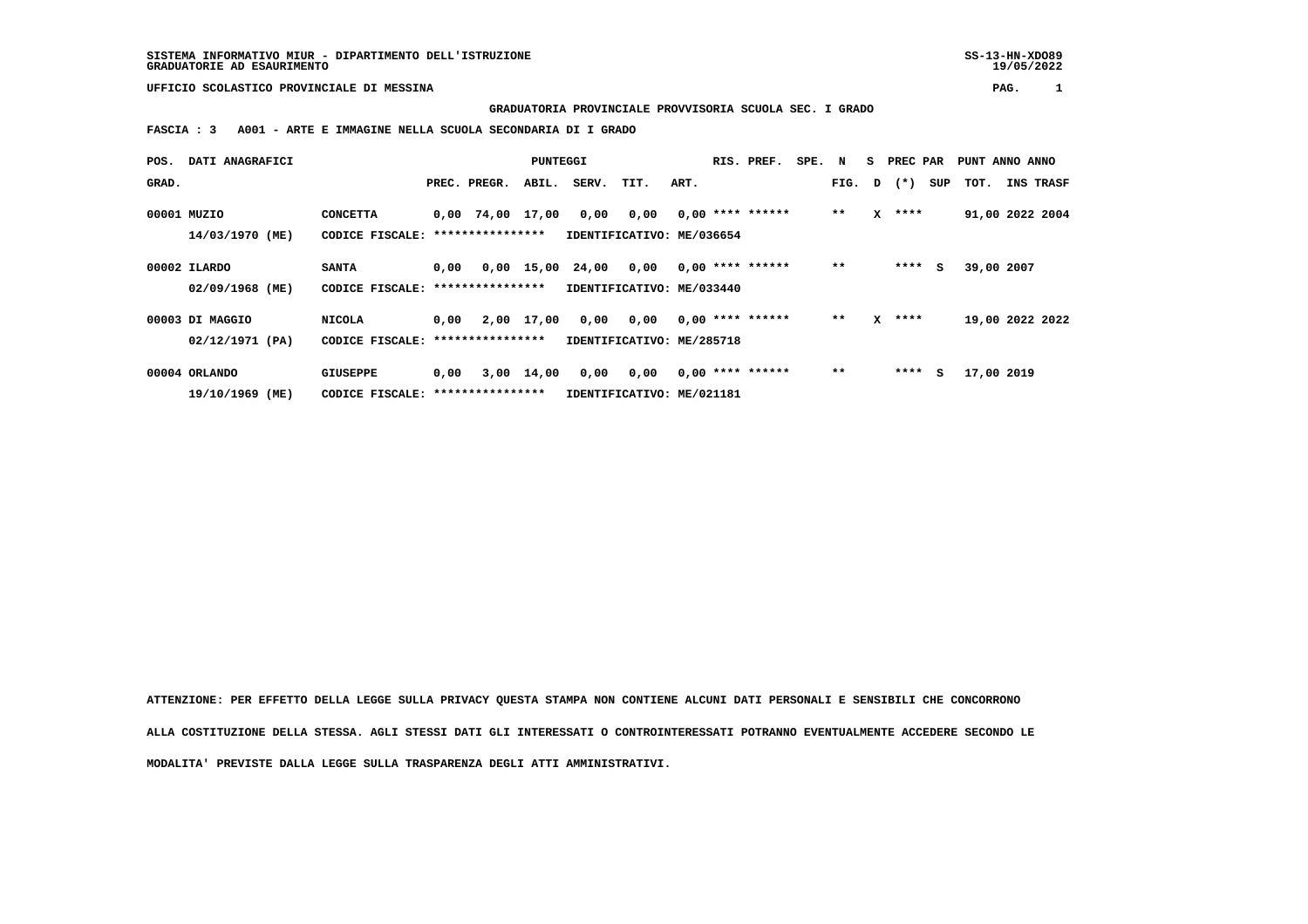## **UFFICIO SCOLASTICO PROVINCIALE DI MESSINA PAG. 1**

 **GRADUATORIA PROVINCIALE PROVVISORIA SCUOLA SEC. I GRADO**

 **FASCIA : 3 A001 - ARTE E IMMAGINE NELLA SCUOLA SECONDARIA DI I GRADO**

| POS.  | DATI ANAGRAFICI |                                   |                                   |                  | <b>PUNTEGGI</b> |                           |           |      | RIS. PREF.         | SPE. N |       |              | S PREC PAR   |     | PUNT ANNO ANNO  |           |  |
|-------|-----------------|-----------------------------------|-----------------------------------|------------------|-----------------|---------------------------|-----------|------|--------------------|--------|-------|--------------|--------------|-----|-----------------|-----------|--|
| GRAD. |                 |                                   |                                   | PREC. PREGR.     | ABIL.           | SERV.                     | TIT.      | ART. |                    |        |       |              | FIG. D $(*)$ | SUP | тот.            | INS TRASF |  |
|       | 00001 MUZIO     | <b>CONCETTA</b>                   |                                   | 0,00 74,00 17,00 |                 | 0,00                      | 0,00      |      | $0.00$ **** ****** |        | $* *$ | $\mathbf{x}$ | ****         |     | 91,00 2022 2004 |           |  |
|       | 14/03/1970 (ME) | CODICE FISCALE: ***************** |                                   |                  |                 | IDENTIFICATIVO: ME/036654 |           |      |                    |        |       |              |              |     |                 |           |  |
|       | 00002 ILARDO    | <b>SANTA</b>                      | 0,00                              |                  |                 | 0,00 15,00 24,00 0,00     |           |      | $0.00$ **** ****** |        | $* *$ |              | $***$ S      |     | 39,00 2007      |           |  |
|       | 02/09/1968 (ME) | CODICE FISCALE:                   |                                   | **************** |                 | IDENTIFICATIVO: ME/033440 |           |      |                    |        |       |              |              |     |                 |           |  |
|       | 00003 DI MAGGIO | <b>NICOLA</b>                     | 0.00                              |                  | 2,00 17,00      |                           | 0,00 0,00 |      | $0.00$ **** ****** |        | $* *$ | $\mathbf{x}$ | ****         |     | 19,00 2022 2022 |           |  |
|       | 02/12/1971 (PA) |                                   | CODICE FISCALE: ***************** |                  |                 | IDENTIFICATIVO: ME/285718 |           |      |                    |        |       |              |              |     |                 |           |  |
|       | 00004 ORLANDO   | GIUSEPPE                          | 0,00                              |                  | 3,00 14,00      | 0,00                      | 0,00      |      | $0,00$ **** ****** |        | $* *$ |              | $***$ S      |     | 17,00 2019      |           |  |
|       | 19/10/1969 (ME) |                                   | CODICE FISCALE: ***************** |                  |                 | IDENTIFICATIVO: ME/021181 |           |      |                    |        |       |              |              |     |                 |           |  |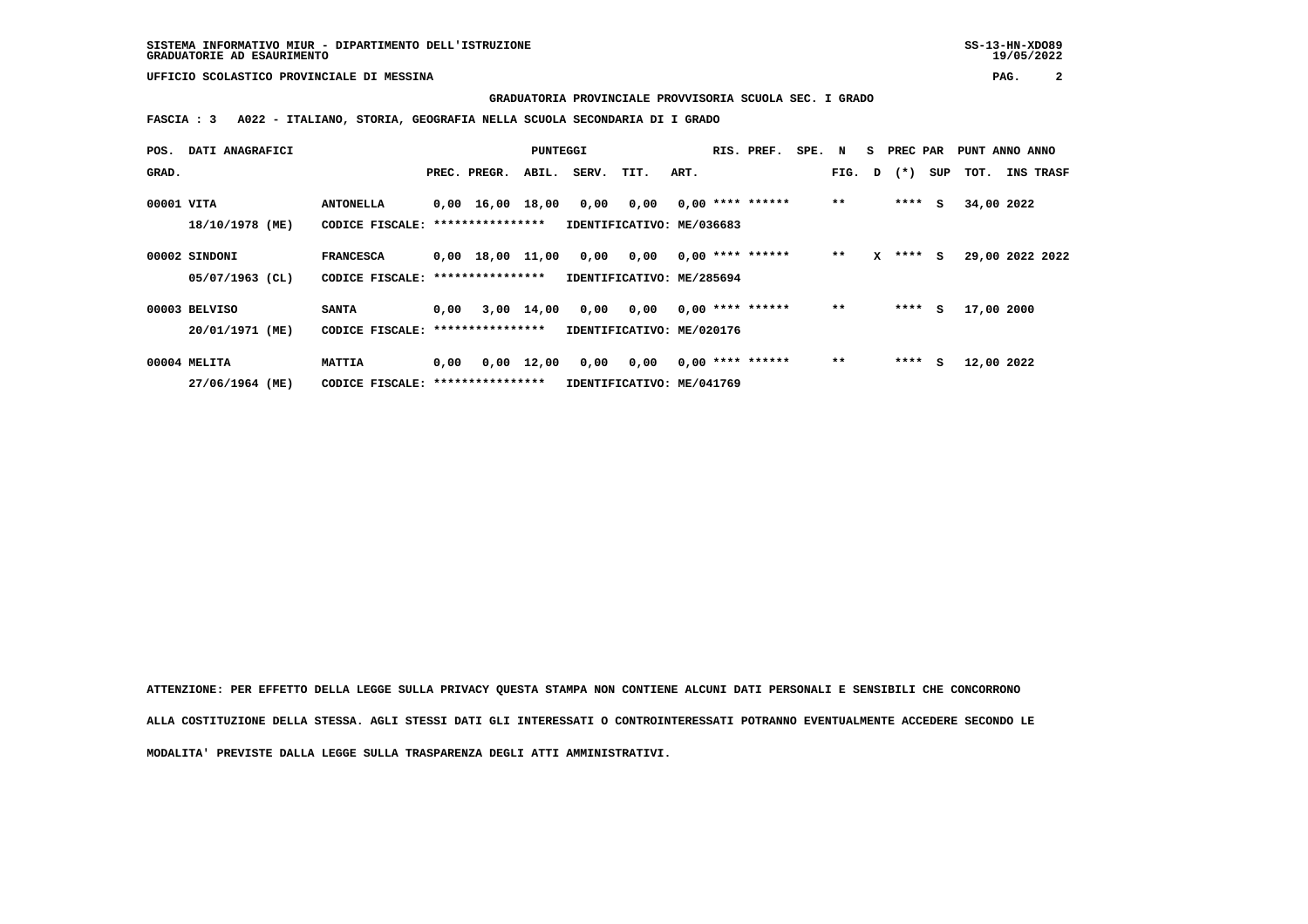**UFFICIO SCOLASTICO PROVINCIALE DI MESSINA PAG. 2**

 **GRADUATORIA PROVINCIALE PROVVISORIA SCUOLA SEC. I GRADO**

 **FASCIA : 3 A022 - ITALIANO, STORIA, GEOGRAFIA NELLA SCUOLA SECONDARIA DI I GRADO**

| POS.       | DATI ANAGRAFICI   |                  | PUNTEGGI                          |                                |                    |                           | RIS. PREF. | SPE. N |  | s                  | PREC PAR |        | PUNT ANNO ANNO |       |        |                 |           |  |
|------------|-------------------|------------------|-----------------------------------|--------------------------------|--------------------|---------------------------|------------|--------|--|--------------------|----------|--------|----------------|-------|--------|-----------------|-----------|--|
| GRAD.      |                   |                  |                                   | PREC. PREGR.                   | ABIL.              | SERV.                     | TIT.       | ART.   |  |                    |          | FIG. D |                | $(*)$ | SUP    | тот.            | INS TRASF |  |
|            |                   |                  |                                   |                                |                    |                           |            |        |  |                    |          |        |                |       |        |                 |           |  |
| 00001 VITA |                   | <b>ANTONELLA</b> |                                   | $0,00 \quad 16,00 \quad 18,00$ |                    | 0,00                      | 0,00       |        |  | $0,00$ **** ****** |          | $* *$  |                | ****  | s      | 34,00 2022      |           |  |
|            | 18/10/1978 (ME)   | CODICE FISCALE:  |                                   | ****************               |                    | IDENTIFICATIVO: ME/036683 |            |        |  |                    |          |        |                |       |        |                 |           |  |
|            | 00002 SINDONI     | <b>FRANCESCA</b> |                                   | $0,00 \quad 18,00 \quad 11,00$ |                    | 0,00                      | 0,00       |        |  | $0,00$ **** ****** |          | $* *$  | x              |       | **** S | 29,00 2022 2022 |           |  |
|            | $05/07/1963$ (CL) | CODICE FISCALE:  |                                   | ****************               |                    | IDENTIFICATIVO: ME/285694 |            |        |  |                    |          |        |                |       |        |                 |           |  |
|            | 00003 BELVISO     | <b>SANTA</b>     | 0,00                              |                                | 3,00 14,00         | 0,00                      | 0,00       |        |  | $0.00$ **** ****** |          | $* *$  |                | ****  | s      | 17,00 2000      |           |  |
|            | 20/01/1971 (ME)   |                  | CODICE FISCALE: ***************** |                                |                    | IDENTIFICATIVO: ME/020176 |            |        |  |                    |          |        |                |       |        |                 |           |  |
|            | 00004 MELITA      | <b>MATTIA</b>    | 0.00                              |                                | $0,00 \quad 12,00$ | 0,00                      | 0,00       |        |  | $0,00$ **** ****** |          | $**$   |                | ****  | s      | 12,00 2022      |           |  |
|            | 27/06/1964 (ME)   |                  | CODICE FISCALE: ***************** |                                |                    | IDENTIFICATIVO: ME/041769 |            |        |  |                    |          |        |                |       |        |                 |           |  |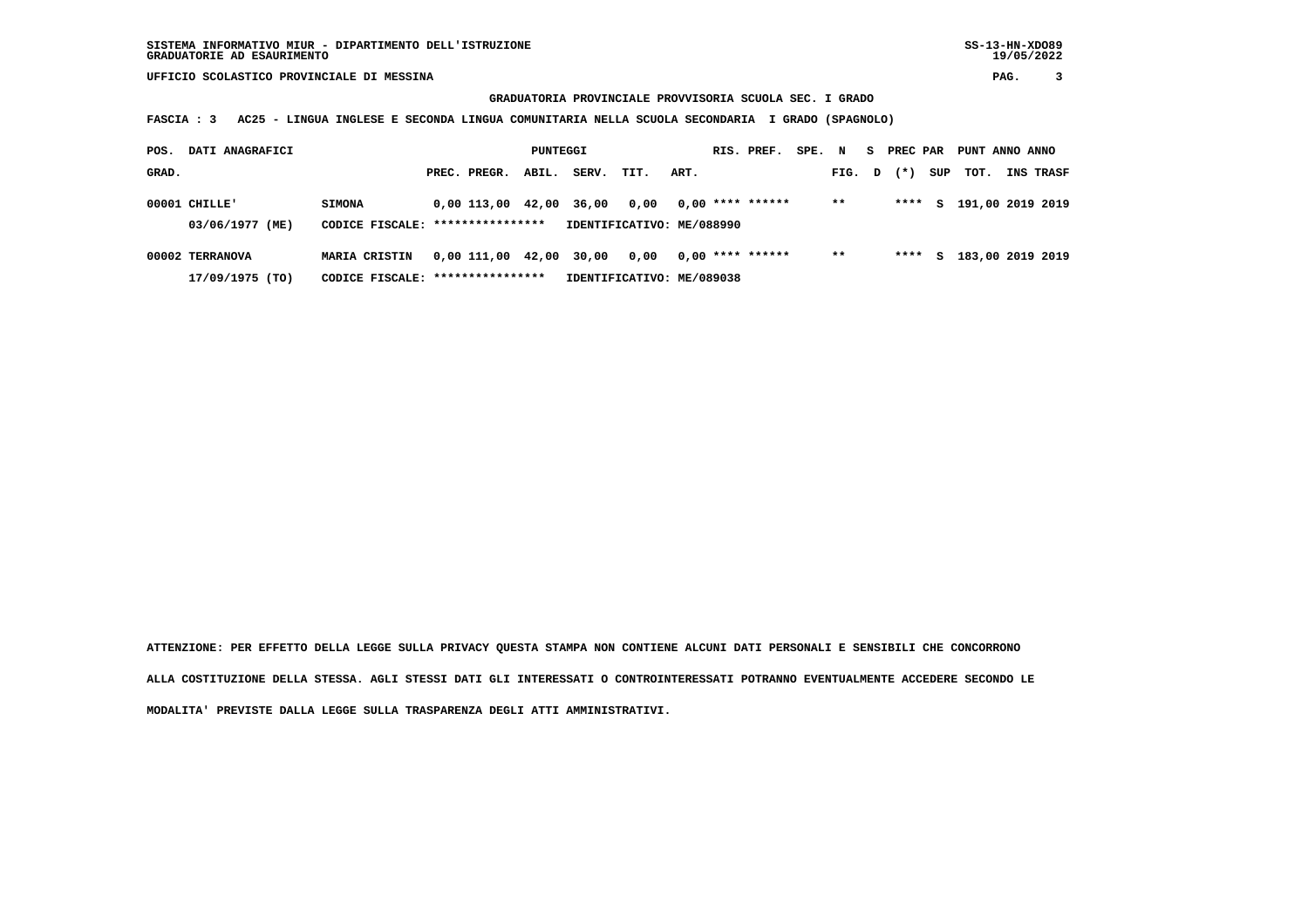## **GRADUATORIA PROVINCIALE PROVVISORIA SCUOLA SEC. I GRADO**

 **FASCIA : 3 AC25 - LINGUA INGLESE E SECONDA LINGUA COMUNITARIA NELLA SCUOLA SECONDARIA I GRADO (SPAGNOLO)**

| POS.  | DATI ANAGRAFICI<br>PUNTEGGI |                                  |                                   |                         |       |                           |      |      | RIS. PREF.         | SPE. | N      | S. | PREC PAR |     | PUNT ANNO ANNO     |           |
|-------|-----------------------------|----------------------------------|-----------------------------------|-------------------------|-------|---------------------------|------|------|--------------------|------|--------|----|----------|-----|--------------------|-----------|
| GRAD. |                             |                                  |                                   | PREC. PREGR.            | ABIL. | SERV.                     | TIT. | ART. |                    |      | FIG. D |    | $(* )$   | SUP | тот.               | INS TRASF |
|       | $00001$ CHILLE'             | <b>SIMONA</b>                    |                                   | 0,00 113,00 42,00       |       | 36,00                     | 0,00 |      | $0.00$ **** ****** |      | $* *$  |    | ****     |     | S 191,00 2019 2019 |           |
|       | 03/06/1977 (ME)             | CODICE FISCALE: **************** |                                   |                         |       | IDENTIFICATIVO: ME/088990 |      |      |                    |      |        |    |          |     |                    |           |
|       | 00002 TERRANOVA             | <b>MARIA CRISTIN</b>             |                                   | 0,00 111,00 42,00 30,00 |       |                           | 0.00 |      | $0.00$ **** ****** |      | $* *$  |    | ****     |     | S 183,00 2019 2019 |           |
|       | 17/09/1975 (TO)             |                                  | CODICE FISCALE: ***************** |                         |       | IDENTIFICATIVO: ME/089038 |      |      |                    |      |        |    |          |     |                    |           |